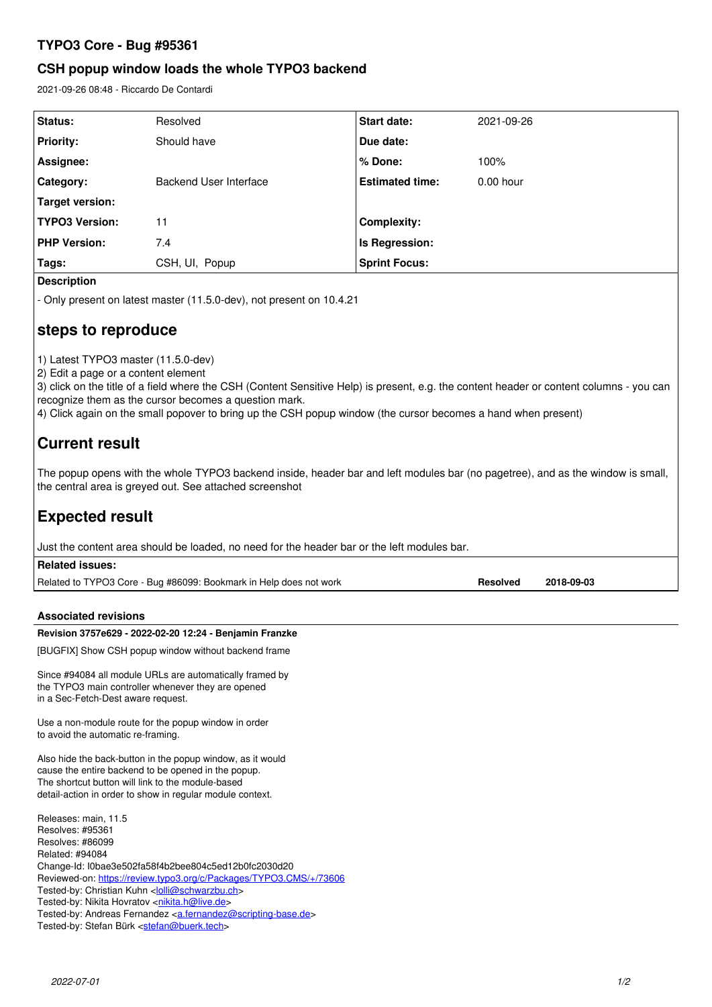## **TYPO3 Core - Bug #95361**

## **CSH popup window loads the whole TYPO3 backend**

2021-09-26 08:48 - Riccardo De Contardi

| Status:               | Resolved               | <b>Start date:</b>     | 2021-09-26  |
|-----------------------|------------------------|------------------------|-------------|
| <b>Priority:</b>      | Should have            | Due date:              |             |
| Assignee:             |                        | ∣% Done:               | 100%        |
| Category:             | Backend User Interface | <b>Estimated time:</b> | $0.00$ hour |
| Target version:       |                        |                        |             |
| <b>TYPO3 Version:</b> | 11                     | <b>Complexity:</b>     |             |
| <b>PHP Version:</b>   | 7.4                    | Is Regression:         |             |
| Tags:                 | CSH, UI, Popup         | <b>Sprint Focus:</b>   |             |
|                       |                        |                        |             |

**Description**

- Only present on latest master (11.5.0-dev), not present on 10.4.21

# **steps to reproduce**

1) Latest TYPO3 master (11.5.0-dev)

2) Edit a page or a content element

3) click on the title of a field where the CSH (Content Sensitive Help) is present, e.g. the content header or content columns - you can recognize them as the cursor becomes a question mark.

4) Click again on the small popover to bring up the CSH popup window (the cursor becomes a hand when present)

# **Current result**

The popup opens with the whole TYPO3 backend inside, header bar and left modules bar (no pagetree), and as the window is small, the central area is greyed out. See attached screenshot

# **Expected result**

Just the content area should be loaded, no need for the header bar or the left modules bar.

| Related issues:                                                    |          |            |
|--------------------------------------------------------------------|----------|------------|
| Related to TYPO3 Core - Bug #86099: Bookmark in Help does not work | Resolved | 2018-09-03 |

## **Associated revisions**

### **Revision 3757e629 - 2022-02-20 12:24 - Benjamin Franzke**

[BUGFIX] Show CSH popup window without backend frame

Since #94084 all module URLs are automatically framed by the TYPO3 main controller whenever they are opened in a Sec-Fetch-Dest aware request.

Use a non-module route for the popup window in order to avoid the automatic re-framing.

Also hide the back-button in the popup window, as it would cause the entire backend to be opened in the popup. The shortcut button will link to the module-based detail-action in order to show in regular module context.

Releases: main, 11.5 Resolves: #95361 Resolves: #86099 Related: #94084 Change-Id: I0bae3e502fa58f4b2bee804c5ed12b0fc2030d20 Reviewed-on:<https://review.typo3.org/c/Packages/TYPO3.CMS/+/73606> Tested-by: Christian Kuhn <[lolli@schwarzbu.ch](mailto:lolli@schwarzbu.ch)> Tested-by: Nikita Hovratov [<nikita.h@live.de>](mailto:nikita.h@live.de) Tested-by: Andreas Fernandez [<a.fernandez@scripting-base.de>](mailto:a.fernandez@scripting-base.de) Tested-by: Stefan Bürk <[stefan@buerk.tech](mailto:stefan@buerk.tech)>